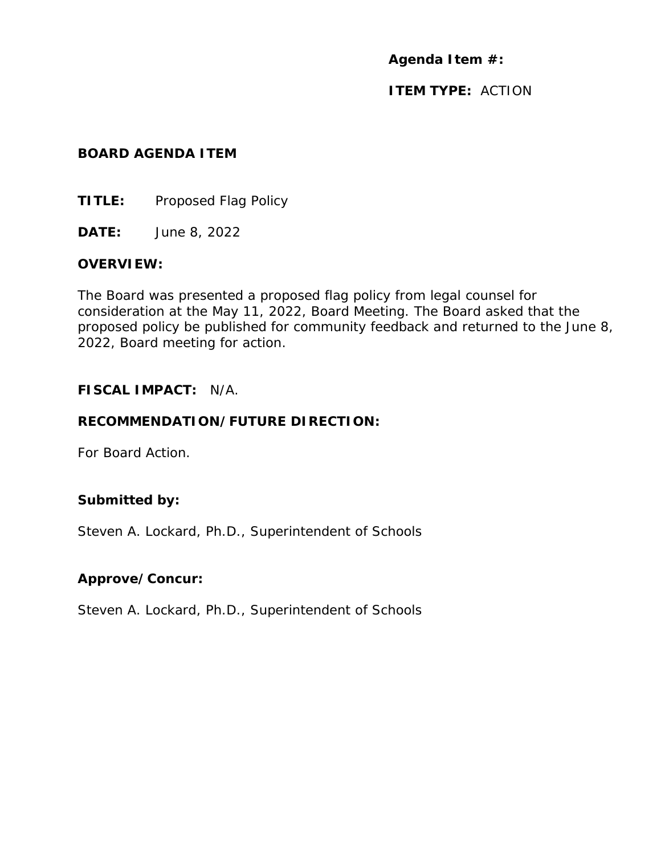**Agenda Item #:** 

**ITEM TYPE:** ACTION

#### **BOARD AGENDA ITEM**

**TITLE:** Proposed Flag Policy

**DATE:** June 8, 2022

## **OVERVIEW:**

The Board was presented a proposed flag policy from legal counsel for consideration at the May 11, 2022, Board Meeting. The Board asked that the proposed policy be published for community feedback and returned to the June 8, 2022, Board meeting for action.

## **FISCAL IMPACT:** N/A.

# **RECOMMENDATION/FUTURE DIRECTION:**

For Board Action.

# **Submitted by:**

Steven A. Lockard, Ph.D., Superintendent of Schools

# **Approve/Concur:**

Steven A. Lockard, Ph.D., Superintendent of Schools